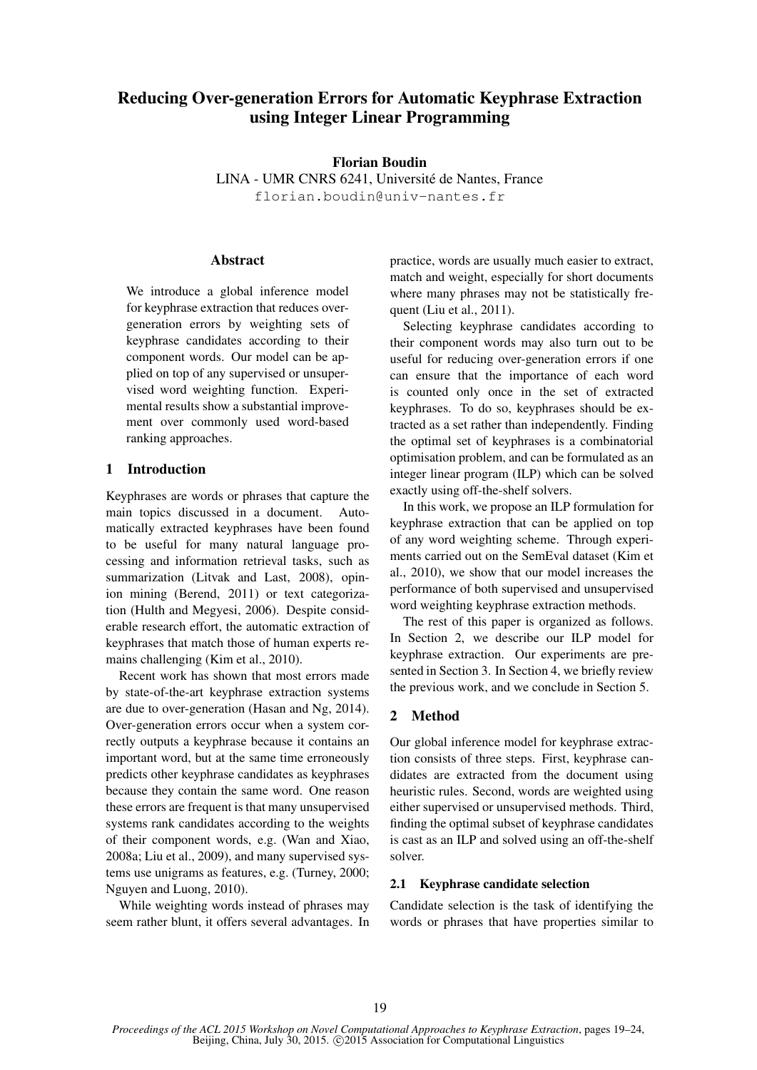# Reducing Over-generation Errors for Automatic Keyphrase Extraction using Integer Linear Programming

### Florian Boudin

LINA - UMR CNRS 6241, Universite de Nantes, France ´ florian.boudin@univ-nantes.fr

### **Abstract**

We introduce a global inference model for keyphrase extraction that reduces overgeneration errors by weighting sets of keyphrase candidates according to their component words. Our model can be applied on top of any supervised or unsupervised word weighting function. Experimental results show a substantial improvement over commonly used word-based ranking approaches.

### 1 Introduction

Keyphrases are words or phrases that capture the main topics discussed in a document. Automatically extracted keyphrases have been found to be useful for many natural language processing and information retrieval tasks, such as summarization (Litvak and Last, 2008), opinion mining (Berend, 2011) or text categorization (Hulth and Megyesi, 2006). Despite considerable research effort, the automatic extraction of keyphrases that match those of human experts remains challenging (Kim et al., 2010).

Recent work has shown that most errors made by state-of-the-art keyphrase extraction systems are due to over-generation (Hasan and Ng, 2014). Over-generation errors occur when a system correctly outputs a keyphrase because it contains an important word, but at the same time erroneously predicts other keyphrase candidates as keyphrases because they contain the same word. One reason these errors are frequent is that many unsupervised systems rank candidates according to the weights of their component words, e.g. (Wan and Xiao, 2008a; Liu et al., 2009), and many supervised systems use unigrams as features, e.g. (Turney, 2000; Nguyen and Luong, 2010).

While weighting words instead of phrases may seem rather blunt, it offers several advantages. In practice, words are usually much easier to extract, match and weight, especially for short documents where many phrases may not be statistically frequent (Liu et al., 2011).

Selecting keyphrase candidates according to their component words may also turn out to be useful for reducing over-generation errors if one can ensure that the importance of each word is counted only once in the set of extracted keyphrases. To do so, keyphrases should be extracted as a set rather than independently. Finding the optimal set of keyphrases is a combinatorial optimisation problem, and can be formulated as an integer linear program (ILP) which can be solved exactly using off-the-shelf solvers.

In this work, we propose an ILP formulation for keyphrase extraction that can be applied on top of any word weighting scheme. Through experiments carried out on the SemEval dataset (Kim et al., 2010), we show that our model increases the performance of both supervised and unsupervised word weighting keyphrase extraction methods.

The rest of this paper is organized as follows. In Section 2, we describe our ILP model for keyphrase extraction. Our experiments are presented in Section 3. In Section 4, we briefly review the previous work, and we conclude in Section 5.

## 2 Method

Our global inference model for keyphrase extraction consists of three steps. First, keyphrase candidates are extracted from the document using heuristic rules. Second, words are weighted using either supervised or unsupervised methods. Third, finding the optimal subset of keyphrase candidates is cast as an ILP and solved using an off-the-shelf solver.

### 2.1 Keyphrase candidate selection

Candidate selection is the task of identifying the words or phrases that have properties similar to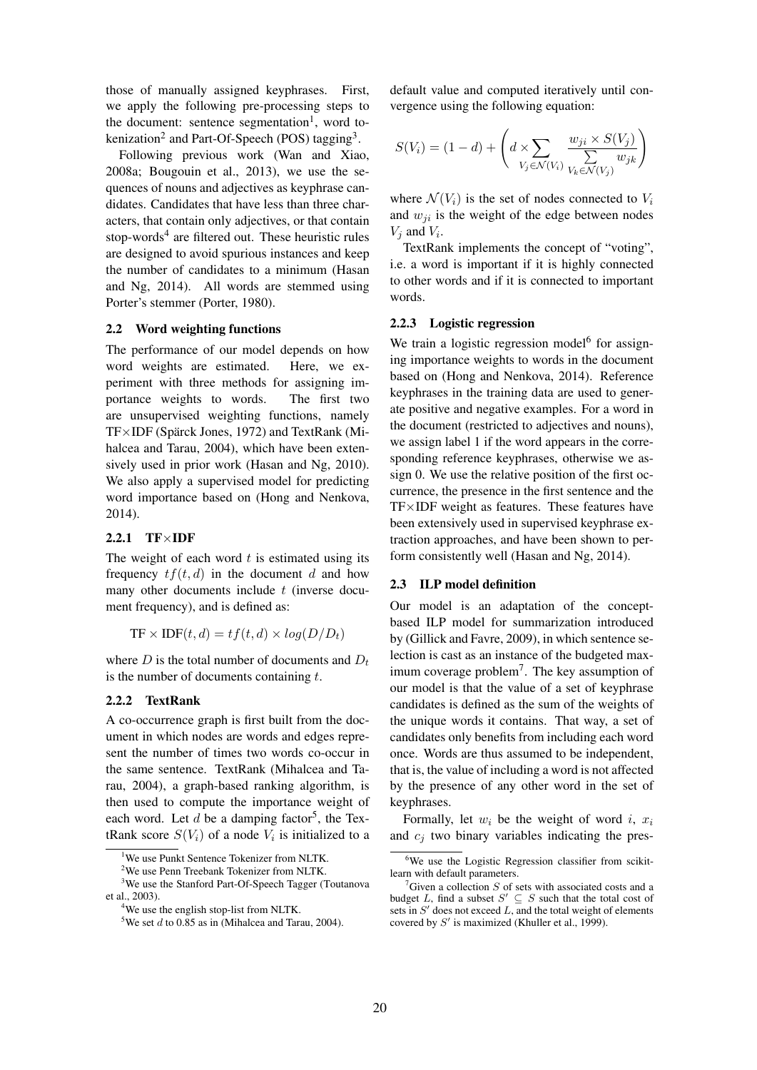those of manually assigned keyphrases. First, we apply the following pre-processing steps to the document: sentence segmentation<sup>1</sup>, word tokenization<sup>2</sup> and Part-Of-Speech (POS) tagging<sup>3</sup>.

Following previous work (Wan and Xiao, 2008a; Bougouin et al., 2013), we use the sequences of nouns and adjectives as keyphrase candidates. Candidates that have less than three characters, that contain only adjectives, or that contain stop-words<sup>4</sup> are filtered out. These heuristic rules are designed to avoid spurious instances and keep the number of candidates to a minimum (Hasan and Ng, 2014). All words are stemmed using Porter's stemmer (Porter, 1980).

### 2.2 Word weighting functions

The performance of our model depends on how word weights are estimated. Here, we experiment with three methods for assigning importance weights to words. The first two are unsupervised weighting functions, namely TF×IDF (Spärck Jones, 1972) and TextRank (Mihalcea and Tarau, 2004), which have been extensively used in prior work (Hasan and Ng, 2010). We also apply a supervised model for predicting word importance based on (Hong and Nenkova, 2014).

# $2.2.1$  TF $\times$ IDF

The weight of each word  $t$  is estimated using its frequency  $tf(t, d)$  in the document d and how many other documents include  $t$  (inverse document frequency), and is defined as:

$$
TF \times IDF(t, d) = tf(t, d) \times log(D/D_t)
$$

where  $D$  is the total number of documents and  $D_t$ is the number of documents containing  $t$ .

#### 2.2.2 TextRank

A co-occurrence graph is first built from the document in which nodes are words and edges represent the number of times two words co-occur in the same sentence. TextRank (Mihalcea and Tarau, 2004), a graph-based ranking algorithm, is then used to compute the importance weight of each word. Let  $d$  be a damping factor<sup>5</sup>, the TextRank score  $S(V_i)$  of a node  $V_i$  is initialized to a

default value and computed iteratively until convergence using the following equation:

$$
S(V_i) = (1-d) + \left(d \times \sum_{V_j \in \mathcal{N}(V_i)} \frac{w_{ji} \times S(V_j)}{v_k \in \mathcal{N}(V_j)}\right)
$$

where  $\mathcal{N}(V_i)$  is the set of nodes connected to  $V_i$ and  $w_{ji}$  is the weight of the edge between nodes  $V_j$  and  $V_i$ .

TextRank implements the concept of "voting", i.e. a word is important if it is highly connected to other words and if it is connected to important words.

#### 2.2.3 Logistic regression

We train a logistic regression model<sup>6</sup> for assigning importance weights to words in the document based on (Hong and Nenkova, 2014). Reference keyphrases in the training data are used to generate positive and negative examples. For a word in the document (restricted to adjectives and nouns), we assign label 1 if the word appears in the corresponding reference keyphrases, otherwise we assign 0. We use the relative position of the first occurrence, the presence in the first sentence and the TF×IDF weight as features. These features have been extensively used in supervised keyphrase extraction approaches, and have been shown to perform consistently well (Hasan and Ng, 2014).

#### 2.3 ILP model definition

Our model is an adaptation of the conceptbased ILP model for summarization introduced by (Gillick and Favre, 2009), in which sentence selection is cast as an instance of the budgeted maximum coverage problem<sup>7</sup>. The key assumption of our model is that the value of a set of keyphrase candidates is defined as the sum of the weights of the unique words it contains. That way, a set of candidates only benefits from including each word once. Words are thus assumed to be independent, that is, the value of including a word is not affected by the presence of any other word in the set of keyphrases.

Formally, let  $w_i$  be the weight of word i,  $x_i$ and  $c_i$  two binary variables indicating the pres-

 $1$ We use Punkt Sentence Tokenizer from NLTK.

 $2$ We use Penn Treebank Tokenizer from NLTK.

<sup>3</sup>We use the Stanford Part-Of-Speech Tagger (Toutanova et al., 2003).

<sup>&</sup>lt;sup>4</sup>We use the english stop-list from NLTK.

<sup>&</sup>lt;sup>5</sup>We set  $d$  to 0.85 as in (Mihalcea and Tarau, 2004).

<sup>&</sup>lt;sup>6</sup>We use the Logistic Regression classifier from scikitlearn with default parameters.

 ${}^{7}$ Given a collection S of sets with associated costs and a budget L, find a subset  $S' \subseteq S$  such that the total cost of sets in  $S'$  does not exceed L, and the total weight of elements covered by  $S'$  is maximized (Khuller et al., 1999).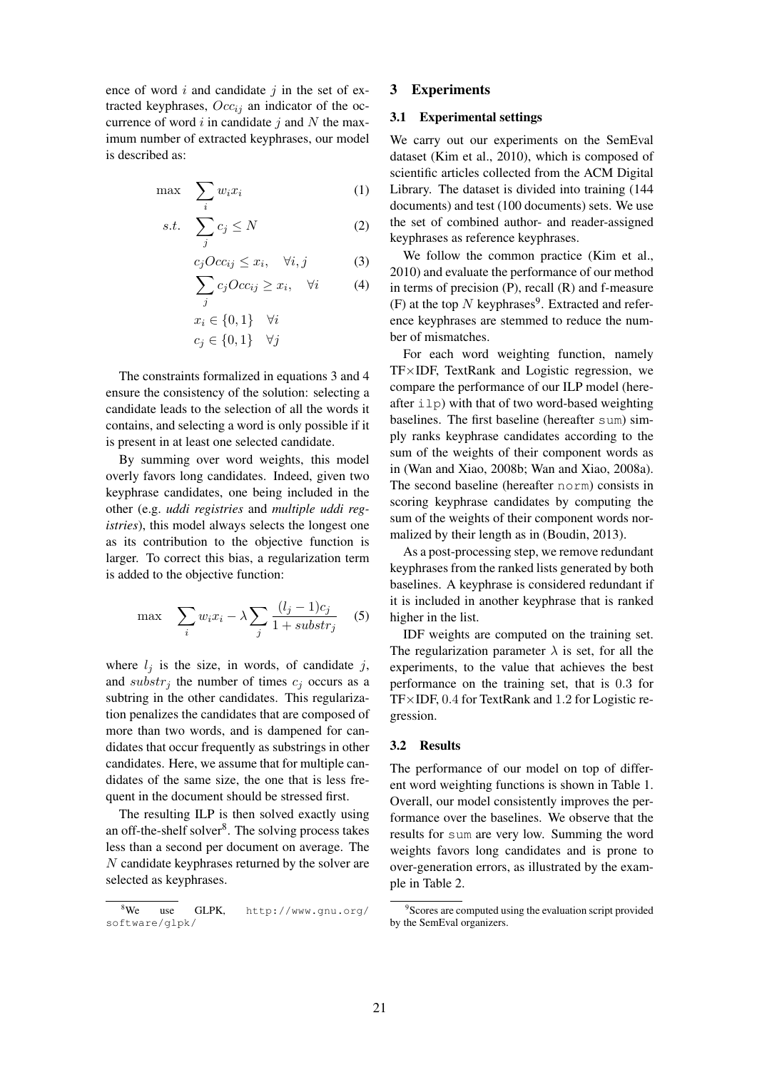ence of word  $i$  and candidate  $j$  in the set of extracted keyphrases,  $Occ_{ii}$  an indicator of the occurrence of word  $i$  in candidate  $j$  and  $N$  the maximum number of extracted keyphrases, our model is described as:

$$
\max \quad \sum_{i} w_i x_i \tag{1}
$$

$$
s.t. \quad \sum_{j} c_j \le N \tag{2}
$$

$$
c_j Occ_{ij} \le x_i, \quad \forall i, j
$$
 (3)  

$$
\sum c_j Occ_{ij} \ge x_i, \quad \forall i
$$
 (4)

$$
j
$$
  

$$
x_i \in \{0, 1\} \quad \forall i
$$
  

$$
c_j \in \{0, 1\} \quad \forall j
$$

The constraints formalized in equations 3 and 4 ensure the consistency of the solution: selecting a candidate leads to the selection of all the words it contains, and selecting a word is only possible if it is present in at least one selected candidate.

By summing over word weights, this model overly favors long candidates. Indeed, given two keyphrase candidates, one being included in the other (e.g. *uddi registries* and *multiple uddi registries*), this model always selects the longest one as its contribution to the objective function is larger. To correct this bias, a regularization term is added to the objective function:

$$
\max \quad \sum_{i} w_i x_i - \lambda \sum_{j} \frac{(l_j - 1)c_j}{1 + \textit{substr}_j} \quad (5)
$$

where  $l_i$  is the size, in words, of candidate j, and substr<sub>j</sub> the number of times  $c_j$  occurs as a subtring in the other candidates. This regularization penalizes the candidates that are composed of more than two words, and is dampened for candidates that occur frequently as substrings in other candidates. Here, we assume that for multiple candidates of the same size, the one that is less frequent in the document should be stressed first.

The resulting ILP is then solved exactly using an off-the-shelf solver<sup>8</sup>. The solving process takes less than a second per document on average. The N candidate keyphrases returned by the solver are selected as keyphrases.

# 3 Experiments

# 3.1 Experimental settings

We carry out our experiments on the SemEval dataset (Kim et al., 2010), which is composed of scientific articles collected from the ACM Digital Library. The dataset is divided into training (144 documents) and test (100 documents) sets. We use the set of combined author- and reader-assigned keyphrases as reference keyphrases.

We follow the common practice (Kim et al., 2010) and evaluate the performance of our method in terms of precision (P), recall (R) and f-measure (F) at the top  $N$  keyphrases<sup>9</sup>. Extracted and reference keyphrases are stemmed to reduce the number of mismatches.

For each word weighting function, namely TF×IDF, TextRank and Logistic regression, we compare the performance of our ILP model (hereafter  $i\,l$  p) with that of two word-based weighting baselines. The first baseline (hereafter sum) simply ranks keyphrase candidates according to the sum of the weights of their component words as in (Wan and Xiao, 2008b; Wan and Xiao, 2008a). The second baseline (hereafter norm) consists in scoring keyphrase candidates by computing the sum of the weights of their component words normalized by their length as in (Boudin, 2013).

As a post-processing step, we remove redundant keyphrases from the ranked lists generated by both baselines. A keyphrase is considered redundant if it is included in another keyphrase that is ranked higher in the list.

IDF weights are computed on the training set. The regularization parameter  $\lambda$  is set, for all the experiments, to the value that achieves the best performance on the training set, that is 0.3 for TF×IDF, 0.4 for TextRank and 1.2 for Logistic regression.

# 3.2 Results

The performance of our model on top of different word weighting functions is shown in Table 1. Overall, our model consistently improves the performance over the baselines. We observe that the results for sum are very low. Summing the word weights favors long candidates and is prone to over-generation errors, as illustrated by the example in Table 2.

<sup>8</sup>We use GLPK, http://www.gnu.org/ software/glpk/

<sup>&</sup>lt;sup>9</sup>Scores are computed using the evaluation script provided by the SemEval organizers.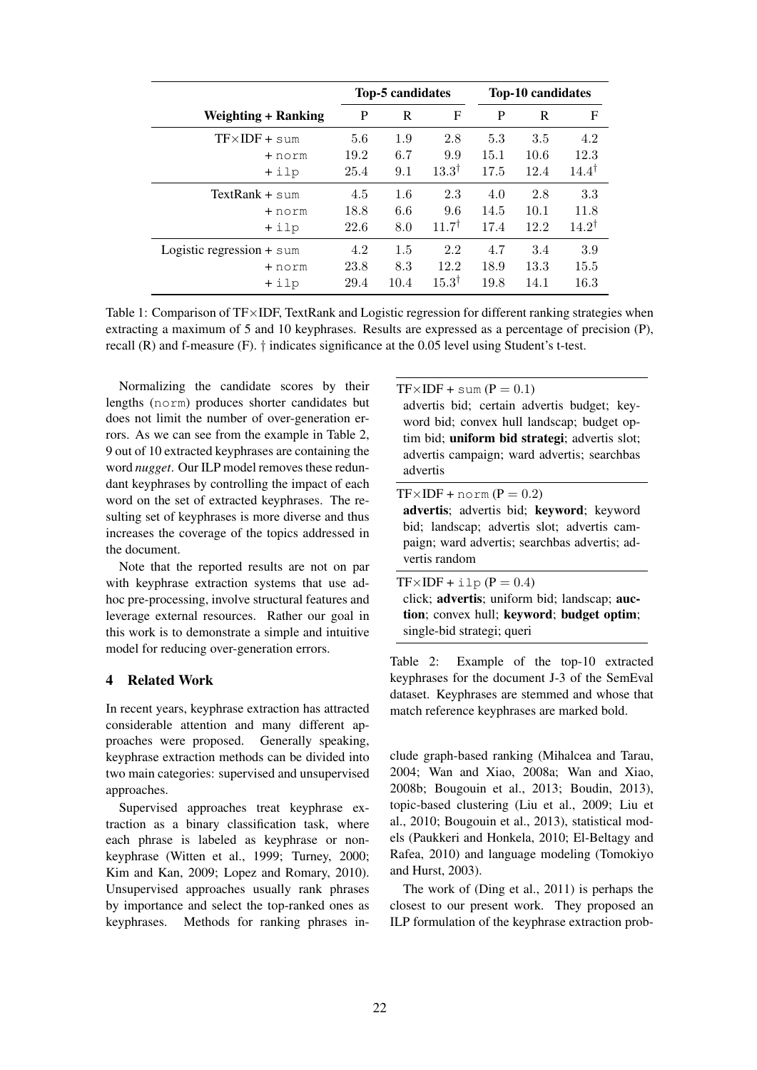|                             | <b>Top-5 candidates</b> |      |                  | <b>Top-10 candidates</b> |      |                  |
|-----------------------------|-------------------------|------|------------------|--------------------------|------|------------------|
| <b>Weighting + Ranking</b>  | P                       | R    | F                | P                        | R    | F                |
| $TF \times IDF + sum$       | 5.6                     | 1.9  | 2.8              | 5.3                      | 3.5  | 4.2              |
| + norm                      | 19.2                    | 6.7  | 9.9              | 15.1                     | 10.6 | 12.3             |
| $+$ ilp                     | 25.4                    | 9.1  | $13.3^{\dagger}$ | 17.5                     | 12.4 | $14.4^{\dagger}$ |
| TextRank $+$ sum            | 4.5                     | 1.6  | 2.3              | 4.0                      | 2.8  | 3.3              |
| + norm                      | 18.8                    | 6.6  | 9.6              | 14.5                     | 10.1 | 11.8             |
| $+$ ilp                     | 22.6                    | 8.0  | $11.7^{\dagger}$ | 17.4                     | 12.2 | $14.2^{\dagger}$ |
| Logistic regression $+$ sum | 4.2                     | 1.5  | 2.2              | 4.7                      | 3.4  | 3.9              |
| + norm                      | 23.8                    | 8.3  | 12.2             | 18.9                     | 13.3 | 15.5             |
| +ilp                        | 29.4                    | 10.4 | $15.3^{\dagger}$ | 19.8                     | 14.1 | 16.3             |

Table 1: Comparison of TF×IDF, TextRank and Logistic regression for different ranking strategies when extracting a maximum of 5 and 10 keyphrases. Results are expressed as a percentage of precision (P), recall (R) and f-measure (F). † indicates significance at the 0.05 level using Student's t-test.

Normalizing the candidate scores by their lengths (norm) produces shorter candidates but does not limit the number of over-generation errors. As we can see from the example in Table 2, 9 out of 10 extracted keyphrases are containing the word *nugget*. Our ILP model removes these redundant keyphrases by controlling the impact of each word on the set of extracted keyphrases. The resulting set of keyphrases is more diverse and thus increases the coverage of the topics addressed in the document.

Note that the reported results are not on par with keyphrase extraction systems that use adhoc pre-processing, involve structural features and leverage external resources. Rather our goal in this work is to demonstrate a simple and intuitive model for reducing over-generation errors.

## 4 Related Work

In recent years, keyphrase extraction has attracted considerable attention and many different approaches were proposed. Generally speaking, keyphrase extraction methods can be divided into two main categories: supervised and unsupervised approaches.

Supervised approaches treat keyphrase extraction as a binary classification task, where each phrase is labeled as keyphrase or nonkeyphrase (Witten et al., 1999; Turney, 2000; Kim and Kan, 2009; Lopez and Romary, 2010). Unsupervised approaches usually rank phrases by importance and select the top-ranked ones as keyphrases. Methods for ranking phrases in $TF\times IDF + sum(P = 0.1)$ advertis bid; certain advertis budget; keyword bid; convex hull landscap; budget optim bid; uniform bid strategi; advertis slot; advertis campaign; ward advertis; searchbas advertis

 $TF\times IDF + norm (P = 0.2)$ 

advertis; advertis bid; keyword; keyword bid; landscap; advertis slot; advertis campaign; ward advertis; searchbas advertis; advertis random

 $TF\times IDF + i1\circ (P = 0.4)$ 

click; advertis; uniform bid; landscap; auction; convex hull; keyword; budget optim; single-bid strategi; queri

Table 2: Example of the top-10 extracted keyphrases for the document J-3 of the SemEval dataset. Keyphrases are stemmed and whose that match reference keyphrases are marked bold.

clude graph-based ranking (Mihalcea and Tarau, 2004; Wan and Xiao, 2008a; Wan and Xiao, 2008b; Bougouin et al., 2013; Boudin, 2013), topic-based clustering (Liu et al., 2009; Liu et al., 2010; Bougouin et al., 2013), statistical models (Paukkeri and Honkela, 2010; El-Beltagy and Rafea, 2010) and language modeling (Tomokiyo and Hurst, 2003).

The work of (Ding et al., 2011) is perhaps the closest to our present work. They proposed an ILP formulation of the keyphrase extraction prob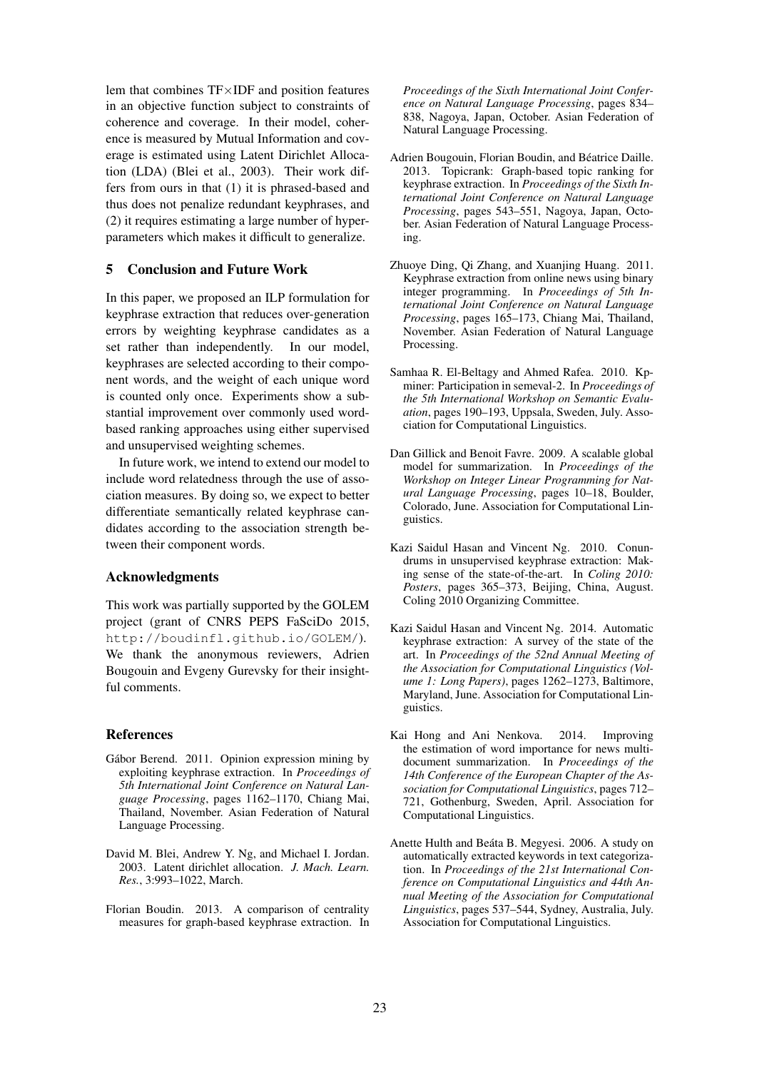lem that combines TF×IDF and position features in an objective function subject to constraints of coherence and coverage. In their model, coherence is measured by Mutual Information and coverage is estimated using Latent Dirichlet Allocation (LDA) (Blei et al., 2003). Their work differs from ours in that (1) it is phrased-based and thus does not penalize redundant keyphrases, and (2) it requires estimating a large number of hyperparameters which makes it difficult to generalize.

# 5 Conclusion and Future Work

In this paper, we proposed an ILP formulation for keyphrase extraction that reduces over-generation errors by weighting keyphrase candidates as a set rather than independently. In our model, keyphrases are selected according to their component words, and the weight of each unique word is counted only once. Experiments show a substantial improvement over commonly used wordbased ranking approaches using either supervised and unsupervised weighting schemes.

In future work, we intend to extend our model to include word relatedness through the use of association measures. By doing so, we expect to better differentiate semantically related keyphrase candidates according to the association strength between their component words.

#### Acknowledgments

This work was partially supported by the GOLEM project (grant of CNRS PEPS FaSciDo 2015, http://boudinfl.github.io/GOLEM/). We thank the anonymous reviewers, Adrien Bougouin and Evgeny Gurevsky for their insightful comments.

### References

- Gábor Berend. 2011. Opinion expression mining by exploiting keyphrase extraction. In *Proceedings of 5th International Joint Conference on Natural Language Processing*, pages 1162–1170, Chiang Mai, Thailand, November. Asian Federation of Natural Language Processing.
- David M. Blei, Andrew Y. Ng, and Michael I. Jordan. 2003. Latent dirichlet allocation. *J. Mach. Learn. Res.*, 3:993–1022, March.
- Florian Boudin. 2013. A comparison of centrality measures for graph-based keyphrase extraction. In

*Proceedings of the Sixth International Joint Conference on Natural Language Processing*, pages 834– 838, Nagoya, Japan, October. Asian Federation of Natural Language Processing.

- Adrien Bougouin, Florian Boudin, and Béatrice Daille. 2013. Topicrank: Graph-based topic ranking for keyphrase extraction. In *Proceedings of the Sixth International Joint Conference on Natural Language Processing*, pages 543–551, Nagoya, Japan, October. Asian Federation of Natural Language Processing.
- Zhuoye Ding, Qi Zhang, and Xuanjing Huang. 2011. Keyphrase extraction from online news using binary integer programming. In *Proceedings of 5th International Joint Conference on Natural Language Processing*, pages 165–173, Chiang Mai, Thailand, November. Asian Federation of Natural Language Processing.
- Samhaa R. El-Beltagy and Ahmed Rafea. 2010. Kpminer: Participation in semeval-2. In *Proceedings of the 5th International Workshop on Semantic Evaluation*, pages 190–193, Uppsala, Sweden, July. Association for Computational Linguistics.
- Dan Gillick and Benoit Favre. 2009. A scalable global model for summarization. In *Proceedings of the Workshop on Integer Linear Programming for Natural Language Processing*, pages 10–18, Boulder, Colorado, June. Association for Computational Linguistics.
- Kazi Saidul Hasan and Vincent Ng. 2010. Conundrums in unsupervised keyphrase extraction: Making sense of the state-of-the-art. In *Coling 2010: Posters*, pages 365–373, Beijing, China, August. Coling 2010 Organizing Committee.
- Kazi Saidul Hasan and Vincent Ng. 2014. Automatic keyphrase extraction: A survey of the state of the art. In *Proceedings of the 52nd Annual Meeting of the Association for Computational Linguistics (Volume 1: Long Papers)*, pages 1262–1273, Baltimore, Maryland, June. Association for Computational Linguistics.
- Kai Hong and Ani Nenkova. 2014. Improving the estimation of word importance for news multidocument summarization. In *Proceedings of the 14th Conference of the European Chapter of the Association for Computational Linguistics*, pages 712– 721, Gothenburg, Sweden, April. Association for Computational Linguistics.
- Anette Hulth and Beáta B. Megyesi. 2006. A study on automatically extracted keywords in text categorization. In *Proceedings of the 21st International Conference on Computational Linguistics and 44th Annual Meeting of the Association for Computational Linguistics*, pages 537–544, Sydney, Australia, July. Association for Computational Linguistics.